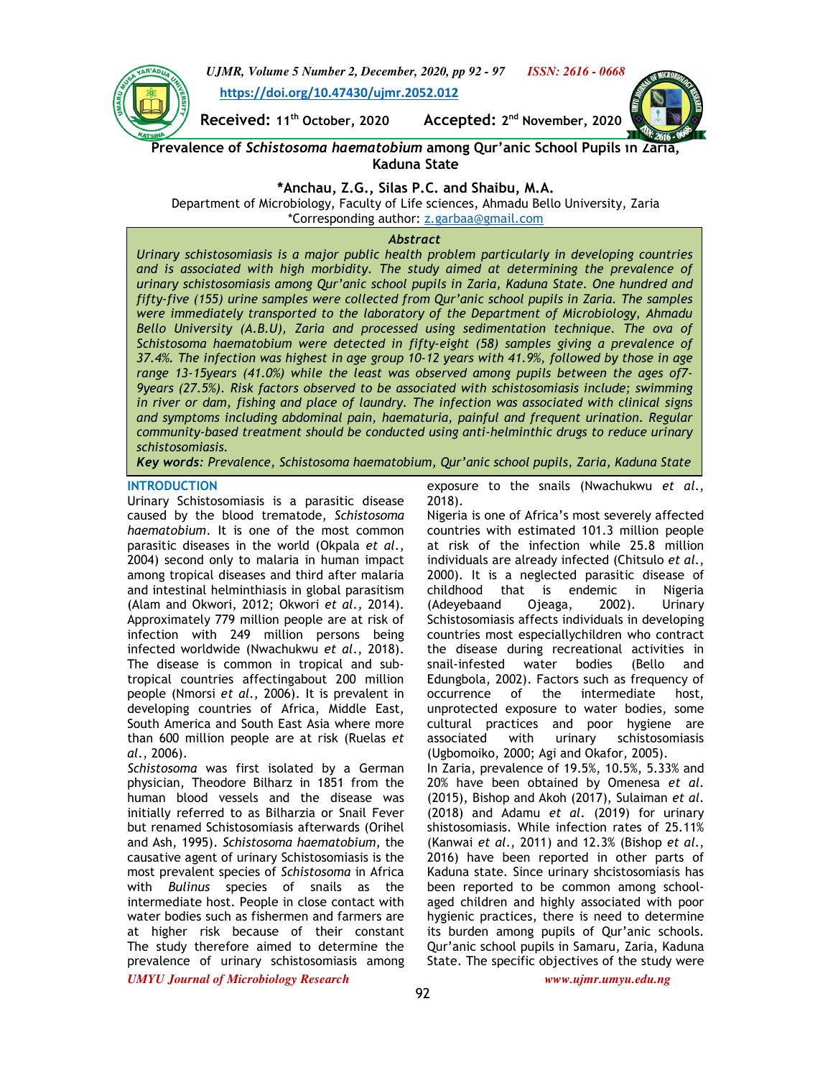

**https://doi.org/10.47430/ujmr.2052.012**



**Received: 11<sup>th</sup> October, 2020** 

Accepted: 2<sup>nd</sup> November, 2020

**Prevalence of** *Schistosoma haematobium* **among Qur'anic School Pupils in Zaria, Kaduna State** 

# **\*Anchau, Z.G., Silas P.C. and Shaibu, M.A.**

Department of Microbiology, Faculty of Life sciences, Ahmadu Bello University, Zaria \*Corresponding author: z.garbaa@gmail.com

# *Abstract*

*Urinary schistosomiasis is a major public health problem particularly in developing countries and is associated with high morbidity. The study aimed at determining the prevalence of urinary schistosomiasis among Qur'anic school pupils in Zaria, Kaduna State. One hundred and fifty-five (155) urine samples were collected from Qur'anic school pupils in Zaria. The samples were immediately transported to the laboratory of the Department of Microbiology, Ahmadu Bello University (A.B.U), Zaria and processed using sedimentation technique. The ova of Schistosoma haematobium were detected in fifty-eight (58) samples giving a prevalence of 37.4%. The infection was highest in age group 10-12 years with 41.9%, followed by those in age range 13-15years (41.0%) while the least was observed among pupils between the ages of7- 9years (27.5%). Risk factors observed to be associated with schistosomiasis include; swimming in river or dam, fishing and place of laundry. The infection was associated with clinical signs and symptoms including abdominal pain, haematuria, painful and frequent urination. Regular community-based treatment should be conducted using anti-helminthic drugs to reduce urinary schistosomiasis.* 

*Key words: Prevalence, Schistosoma haematobium, Qur'anic school pupils, Zaria, Kaduna State* 

# **INTRODUCTION**

Urinary Schistosomiasis is a parasitic disease caused by the blood trematode, *Schistosoma haematobium*. It is one of the most common parasitic diseases in the world (Okpala *et al*., 2004) second only to malaria in human impact among tropical diseases and third after malaria and intestinal helminthiasis in global parasitism (Alam and Okwori, 2012; Okwori *et al.,* 2014). Approximately 779 million people are at risk of infection with 249 million persons being infected worldwide (Nwachukwu *et al*., 2018). The disease is common in tropical and subtropical countries affectingabout 200 million people (Nmorsi *et al*., 2006). It is prevalent in developing countries of Africa, Middle East, South America and South East Asia where more than 600 million people are at risk (Ruelas *et al*., 2006).

*Schistosoma* was first isolated by a German physician, Theodore Bilharz in 1851 from the human blood vessels and the disease was initially referred to as Bilharzia or Snail Fever but renamed Schistosomiasis afterwards (Orihel and Ash, 1995). *Schistosoma haematobium*, the causative agent of urinary Schistosomiasis is the most prevalent species of *Schistosoma* in Africa with *Bulinus* species of snails as the intermediate host. People in close contact with water bodies such as fishermen and farmers are at higher risk because of their constant The study therefore aimed to determine the prevalence of urinary schistosomiasis among

exposure to the snails (Nwachukwu *et al*., 2018).

Nigeria is one of Africa's most severely affected countries with estimated 101.3 million people at risk of the infection while 25.8 million individuals are already infected (Chitsulo *et al*., 2000). It is a neglected parasitic disease of childhood that is endemic in Nigeria (Adeyebaand Ojeaga, 2002). Urinary Schistosomiasis affects individuals in developing countries most especiallychildren who contract the disease during recreational activities in snail-infested water bodies (Bello and Edungbola, 2002). Factors such as frequency of occurrence of the intermediate host, unprotected exposure to water bodies, some cultural practices and poor hygiene are associated with urinary schistosomiasis (Ugbomoiko, 2000; Agi and Okafor, 2005). In Zaria, prevalence of 19.5%, 10.5%, 5.33% and 20% have been obtained by Omenesa *et al*. (2015), Bishop and Akoh (2017), Sulaiman *et al*. (2018) and Adamu *et al*. (2019) for urinary shistosomiasis. While infection rates of 25.11% (Kanwai *et al*., 2011) and 12.3% (Bishop *et al*., 2016) have been reported in other parts of

Kaduna state. Since urinary shcistosomiasis has been reported to be common among school-

aged children and highly associated with poor hygienic practices, there is need to determine its burden among pupils of Qur'anic schools. Qur'anic school pupils in Samaru, Zaria, Kaduna State. The specific objectives of the study were

*UMYU Journal of Microbiology Research www.ujmr.umyu.edu.ng*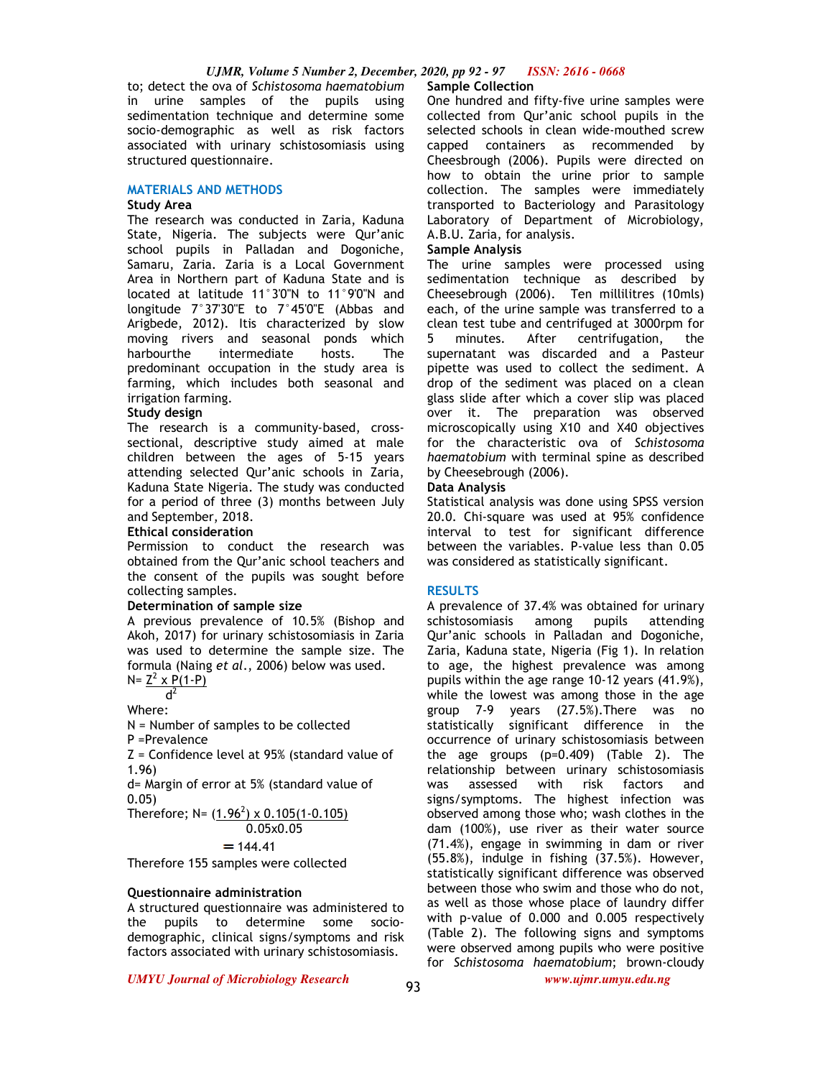to; detect the ova of *Schistosoma haematobium* in urine samples of the pupils using sedimentation technique and determine some socio-demographic as well as risk factors associated with urinary schistosomiasis using structured questionnaire.

### **MATERIALS AND METHODS**

### **Study Area**

The research was conducted in Zaria, Kaduna State, Nigeria. The subjects were Qur'anic school pupils in Palladan and Dogoniche, Samaru, Zaria. Zaria is a Local Government Area in Northern part of Kaduna State and is located at latitude 11°3'0''N to 11°9'0''N and longitude 7°37'30"E to 7°45'0"E (Abbas and Arigbede, 2012). Itis characterized by slow moving rivers and seasonal ponds which harbourthe intermediate hosts. The predominant occupation in the study area is farming, which includes both seasonal and irrigation farming.

### **Study design**

The research is a community-based, crosssectional, descriptive study aimed at male children between the ages of 5-15 years attending selected Qur'anic schools in Zaria, Kaduna State Nigeria. The study was conducted for a period of three (3) months between July and September, 2018.

#### **Ethical consideration**

Permission to conduct the research was obtained from the Qur'anic school teachers and the consent of the pupils was sought before collecting samples.

### **Determination of sample size**

A previous prevalence of 10.5% (Bishop and Akoh, 2017) for urinary schistosomiasis in Zaria was used to determine the sample size. The formula (Naing *et al*., 2006) below was used.

$$
N = \frac{Z^2 \times P(1-P)}{d^2}
$$

Where:

N = Number of samples to be collected P =Prevalence

Z = Confidence level at 95% (standard value of 1.96)

d= Margin of error at 5% (standard value of 0.05)

Therefore; N= 
$$
\frac{(1.96^2) \times 0.105(1-0.105)}{0.05 \times 0.05}
$$

 $= 144.41$ 

Therefore 155 samples were collected

#### **Questionnaire administration**

A structured questionnaire was administered to the pupils to determine some sociodemographic, clinical signs/symptoms and risk factors associated with urinary schistosomiasis.

*UMYU Journal of Microbiology Research www.ujmr.umyu.edu.ng*

# **Sample Collection**

One hundred and fifty-five urine samples were collected from Qur'anic school pupils in the selected schools in clean wide-mouthed screw capped containers as recommended by Cheesbrough (2006). Pupils were directed on how to obtain the urine prior to sample collection. The samples were immediately transported to Bacteriology and Parasitology Laboratory of Department of Microbiology, A.B.U. Zaria, for analysis.

# **Sample Analysis**

The urine samples were processed using sedimentation technique as described by Cheesebrough (2006). Ten millilitres (10mls) each, of the urine sample was transferred to a clean test tube and centrifuged at 3000rpm for 5 minutes. After centrifugation, the supernatant was discarded and a Pasteur pipette was used to collect the sediment. A drop of the sediment was placed on a clean glass slide after which a cover slip was placed over it. The preparation was observed microscopically using X10 and X40 objectives for the characteristic ova of *Schistosoma haematobium* with terminal spine as described by Cheesebrough (2006).

# **Data Analysis**

Statistical analysis was done using SPSS version 20.0. Chi-square was used at 95% confidence interval to test for significant difference between the variables. P-value less than 0.05 was considered as statistically significant.

# **RESULTS**

A prevalence of 37.4% was obtained for urinary schistosomiasis among pupils attending Qur'anic schools in Palladan and Dogoniche, Zaria, Kaduna state, Nigeria (Fig 1). In relation to age, the highest prevalence was among pupils within the age range 10-12 years (41.9%), while the lowest was among those in the age group 7-9 years (27.5%).There was no statistically significant difference in the occurrence of urinary schistosomiasis between the age groups (p=0.409) (Table 2). The relationship between urinary schistosomiasis was assessed with risk factors and signs/symptoms. The highest infection was observed among those who; wash clothes in the dam (100%), use river as their water source (71.4%), engage in swimming in dam or river (55.8%), indulge in fishing (37.5%). However, statistically significant difference was observed between those who swim and those who do not, as well as those whose place of laundry differ with p-value of 0.000 and 0.005 respectively (Table 2). The following signs and symptoms were observed among pupils who were positive for *Schistosoma haematobium*; brown-cloudy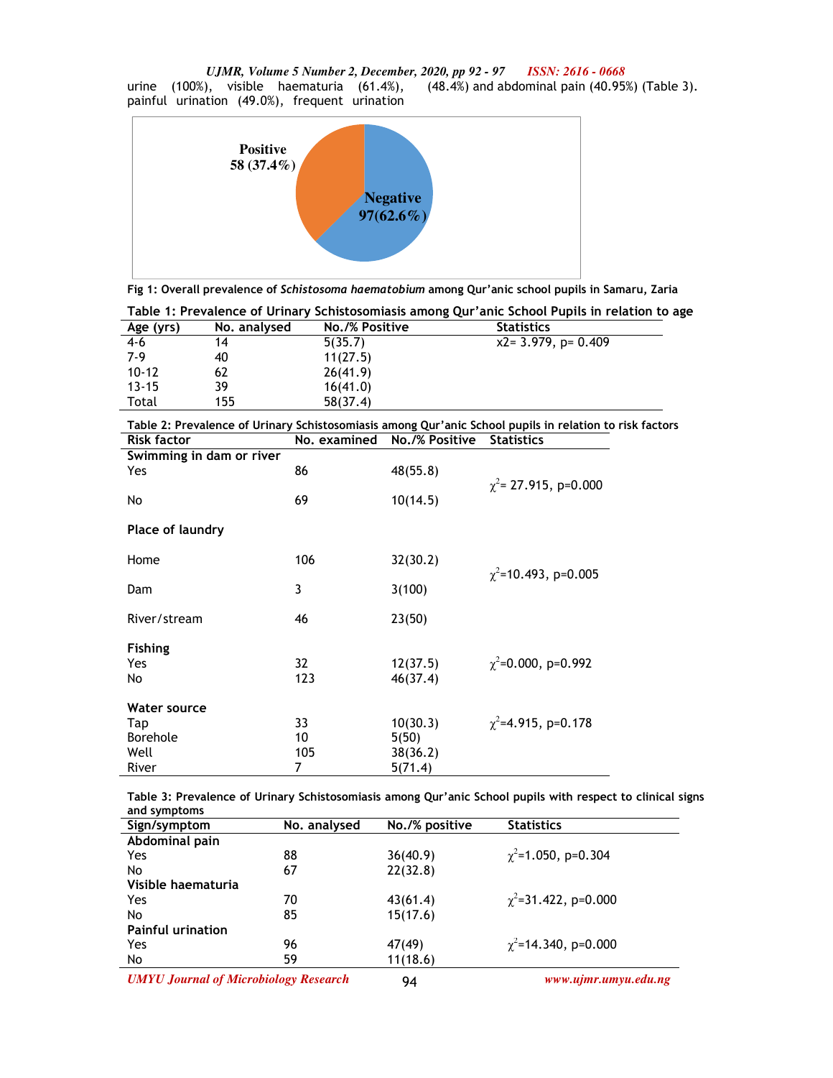*UJMR, Volume 5 Number 2, December, 2020, pp 92 - 97 ISSN: 2616 - 0668* urine (100%), visible haematuria (61.4%), painful urination (49.0%), frequent urination (48.4%) and abdominal pain (40.95%) (Table 3).



|  |  | Fig 1: Overall prevalence of Schistosoma haematobium among Qur'anic school pupils in Samaru, Zaria |  |  |  |
|--|--|----------------------------------------------------------------------------------------------------|--|--|--|
|  |  |                                                                                                    |  |  |  |

|           |              |                | Table 1: Prevalence of Urinary Schistosomiasis among Qur'anic School Pupils in relation to age |  |
|-----------|--------------|----------------|------------------------------------------------------------------------------------------------|--|
| Age (yrs) | No. analysed | No./% Positive | <b>Statistics</b>                                                                              |  |

| <b>Age (yis)</b> | <b>110. andlyscu</b> | $110.770$ F USILIVE | statistics              |
|------------------|----------------------|---------------------|-------------------------|
| $4-6$            | 14                   | 5(35.7)             | $x2 = 3.979$ , p= 0.409 |
| 7-9              | 40                   | 11(27.5)            |                         |
| $10 - 12$        | 62                   | 26(41.9)            |                         |
| $13 - 15$        | 39                   | 16(41.0)            |                         |
| Total            | 155                  | 58(37.4)            |                         |

| Table 2: Prevalence of Urinary Schistosomiasis among Qur'anic School pupils in relation to risk factors |                                        |  |
|---------------------------------------------------------------------------------------------------------|----------------------------------------|--|
| <b>Risk factor</b>                                                                                      | No. examined No./% Positive Statistics |  |

| KISK TACLOF              | no. examineg | NO.7% POSITIVE | Statistics                 |
|--------------------------|--------------|----------------|----------------------------|
| Swimming in dam or river |              |                |                            |
| <b>Yes</b>               | 86           | 48(55.8)       |                            |
|                          |              |                | $\chi^2$ = 27.915, p=0.000 |
| No                       | 69           | 10(14.5)       |                            |
|                          |              |                |                            |
| Place of laundry         |              |                |                            |
|                          |              |                |                            |
| Home                     | 106          | 32(30.2)       | $\chi^2$ =10.493, p=0.005  |
| Dam                      | 3            | 3(100)         |                            |
|                          |              |                |                            |
| River/stream             | 46           | 23(50)         |                            |
|                          |              |                |                            |
| <b>Fishing</b>           |              |                |                            |
| Yes                      | 32           | 12(37.5)       | $\chi^2$ =0.000, p=0.992   |
| No                       | 123          | 46(37.4)       |                            |
|                          |              |                |                            |
| Water source             |              |                |                            |
| Tap                      | 33           | 10(30.3)       | $\chi^2$ =4.915, p=0.178   |
| Borehole                 | 10           | 5(50)          |                            |
| Well                     | 105          | 38(36.2)       |                            |
| River                    | 7            | 5(71.4)        |                            |

**Table 3: Prevalence of Urinary Schistosomiasis among Qur'anic School pupils with respect to clinical signs and symptoms** 

| Sign/symptom<br>No. analysed                 |    | No./% positive | <b>Statistics</b>         |
|----------------------------------------------|----|----------------|---------------------------|
| Abdominal pain                               |    |                |                           |
| Yes                                          | 88 | 36(40.9)       | $\chi^2$ =1.050, p=0.304  |
| No                                           | 67 | 22(32.8)       |                           |
| Visible haematuria                           |    |                |                           |
| Yes                                          | 70 | 43(61.4)       | $\chi^2$ =31.422, p=0.000 |
| No                                           | 85 | 15(17.6)       |                           |
| <b>Painful urination</b>                     |    |                |                           |
| Yes                                          | 96 | 47(49)         | $\chi^2$ =14.340, p=0.000 |
| No                                           | 59 | 11(18.6)       |                           |
| <b>UMYU Journal of Microbiology Research</b> |    | 94             | www.ujmr.umyu.edu.ng      |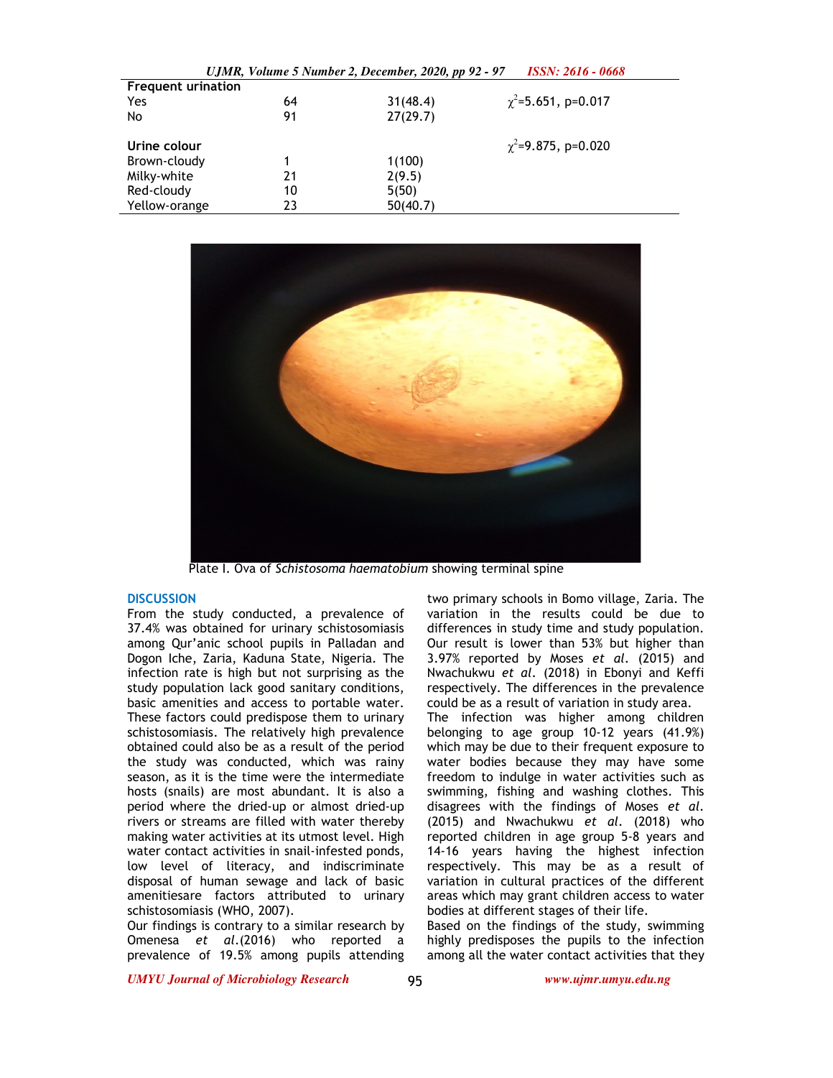|                           | UJMR, Volume 5 Number 2, December, 2020, pp 92 - 97 |          | <b>ISSN: 2616 - 0668</b> |
|---------------------------|-----------------------------------------------------|----------|--------------------------|
| <b>Frequent urination</b> |                                                     |          |                          |
| Yes                       | 64                                                  | 31(48.4) | $\chi^2$ =5.651, p=0.017 |
| No                        | 91                                                  | 27(29.7) |                          |
| Urine colour              |                                                     |          | $\chi^2$ =9.875, p=0.020 |
| Brown-cloudy              |                                                     | 1(100)   |                          |
| Milky-white               | 21                                                  | 2(9.5)   |                          |
| Red-cloudy                | 10                                                  | 5(50)    |                          |
| Yellow-orange             | 23                                                  | 50(40.7) |                          |



Plate I. Ova of *Schistosoma haematobium* showing terminal spine

# **DISCUSSION**

From the study conducted, a prevalence of 37.4% was obtained for urinary schistosomiasis among Qur'anic school pupils in Palladan and Dogon Iche, Zaria, Kaduna State, Nigeria. The infection rate is high but not surprising as the study population lack good sanitary conditions, basic amenities and access to portable water. These factors could predispose them to urinary schistosomiasis. The relatively high prevalence obtained could also be as a result of the period the study was conducted, which was rainy season, as it is the time were the intermediate hosts (snails) are most abundant. It is also a period where the dried-up or almost dried-up rivers or streams are filled with water thereby making water activities at its utmost level. High water contact activities in snail-infested ponds, low level of literacy, and indiscriminate disposal of human sewage and lack of basic amenitiesare factors attributed to urinary schistosomiasis (WHO, 2007).

Our findings is contrary to a similar research by Omenesa *et al*.(2016) who reported a prevalence of 19.5% among pupils attending

two primary schools in Bomo village, Zaria. The variation in the results could be due to differences in study time and study population. Our result is lower than 53% but higher than 3.97% reported by Moses *et al*. (2015) and Nwachukwu *et al*. (2018) in Ebonyi and Keffi respectively. The differences in the prevalence could be as a result of variation in study area. The infection was higher among children belonging to age group 10-12 years (41.9%) which may be due to their frequent exposure to water bodies because they may have some freedom to indulge in water activities such as swimming, fishing and washing clothes. This disagrees with the findings of Moses *et al*. (2015) and Nwachukwu *et al*. (2018) who reported children in age group 5-8 years and 14-16 years having the highest infection respectively. This may be as a result of variation in cultural practices of the different areas which may grant children access to water bodies at different stages of their life.

Based on the findings of the study, swimming highly predisposes the pupils to the infection among all the water contact activities that they

*UMYU Journal of Microbiology Research www.ujmr.umyu.edu.ng*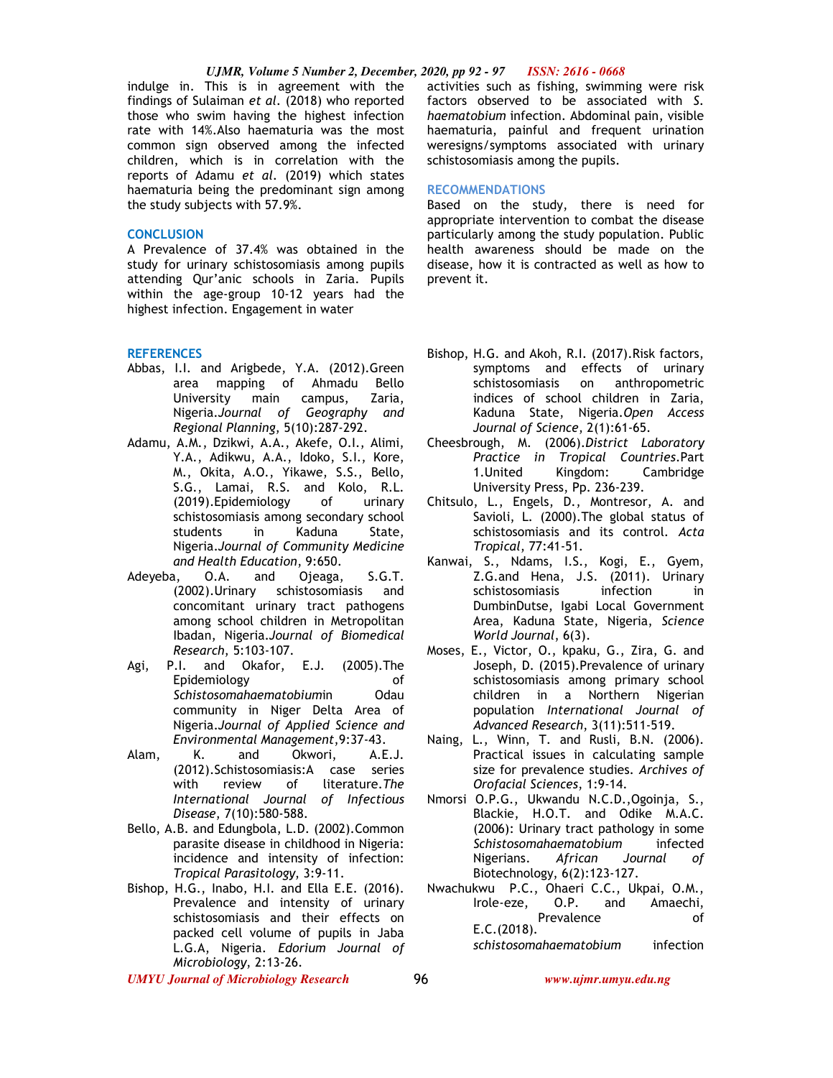indulge in. This is in agreement with the findings of Sulaiman *et al*. (2018) who reported those who swim having the highest infection rate with 14%.Also haematuria was the most common sign observed among the infected children, which is in correlation with the reports of Adamu *et al*. (2019) which states haematuria being the predominant sign among the study subjects with 57.9%.

#### **CONCLUSION**

A Prevalence of 37.4% was obtained in the study for urinary schistosomiasis among pupils attending Qur'anic schools in Zaria. Pupils within the age-group 10-12 years had the highest infection. Engagement in water

#### **REFERENCES**

- Abbas, I.I. and Arigbede, Y.A. (2012).Green area mapping of Ahmadu Bello University main campus, Zaria, Nigeria.*Journal of Geography and Regional Planning*, 5(10):287-292.
- Adamu, A.M., Dzikwi, A.A., Akefe, O.I., Alimi, Y.A., Adikwu, A.A., Idoko, S.I., Kore, M., Okita, A.O., Yikawe, S.S., Bello, S.G., Lamai, R.S. and Kolo, R.L. (2019).Epidemiology of urinary schistosomiasis among secondary school students in Kaduna State, Nigeria.*Journal of Community Medicine and Health Education*, 9:650.
- Adeyeba, O.A. and Ojeaga, S.G.T. (2002).Urinary schistosomiasis and concomitant urinary tract pathogens among school children in Metropolitan Ibadan, Nigeria.*Journal of Biomedical Research*, 5:103-107.
- Agi, P.I. and Okafor, E.J. (2005).The Epidemiology of<br>Schistosomahaematobiumin Odau *Schistosomahaematobiumin* community in Niger Delta Area of Nigeria.*Journal of Applied Science and Environmental Management*,9:37-43.
- Alam, K. and Okwori, A.E.J. (2012).Schistosomiasis:A case series with review of literature.*The International Journal of Infectious Disease*, 7(10):580-588.
- Bello, A.B. and Edungbola, L.D. (2002).Common parasite disease in childhood in Nigeria: incidence and intensity of infection: *Tropical Parasitology*, 3:9-11.
- Bishop, H.G., Inabo, H.I. and Ella E.E. (2016). Prevalence and intensity of urinary schistosomiasis and their effects on packed cell volume of pupils in Jaba L.G.A, Nigeria. *Edorium Journal of Microbiology*, 2:13-26.

activities such as fishing, swimming were risk factors observed to be associated with *S*. *haematobium* infection. Abdominal pain, visible haematuria, painful and frequent urination weresigns/symptoms associated with urinary schistosomiasis among the pupils.

#### **RECOMMENDATIONS**

Based on the study, there is need for appropriate intervention to combat the disease particularly among the study population. Public health awareness should be made on the disease, how it is contracted as well as how to prevent it.

- Bishop, H.G. and Akoh, R.I. (2017).Risk factors, symptoms and effects of urinary schistosomiasis on anthropometric indices of school children in Zaria, Kaduna State, Nigeria.*Open Access Journal of Science*, 2(1):61-65.
- Cheesbrough, M. (2006).*District Laboratory Practice in Tropical Countries*.Part 1.United Kingdom: Cambridge University Press, Pp. 236-239.
- Chitsulo, L., Engels, D., Montresor, A. and Savioli, L. (2000).The global status of schistosomiasis and its control. *Acta Tropical*, 77:41-51.
- Kanwai, S., Ndams, I.S., Kogi, E., Gyem, Z.G.and Hena, J.S. (2011). Urinary schistosomiasis infection in DumbinDutse, Igabi Local Government Area, Kaduna State, Nigeria, *Science World Journal*, 6(3).
- Moses, E., Victor, O., kpaku, G., Zira, G. and Joseph, D. (2015).Prevalence of urinary schistosomiasis among primary school children in a Northern Nigerian population *International Journal of Advanced Research*, 3(11):511-519.
- Naing, L., Winn, T. and Rusli, B.N. (2006). Practical issues in calculating sample size for prevalence studies. *Archives of Orofacial Sciences*, 1:9-14.
- Nmorsi O.P.G., Ukwandu N.C.D.,Ogoinja, S., Blackie, H.O.T. and Odike M.A.C. (2006): Urinary tract pathology in some *Schistosomahaematobium* infected Nigerians. *African Journal of*  Biotechnology, 6(2):123-127.
- Nwachukwu P.C., Ohaeri C.C., Ukpai, O.M., Irole-eze, O.P. and Amaechi, E.C.(2018). Prevalence of *schistosomahaematobium* infection

*UMYU Journal of Microbiology Research www.ujmr.umyu.edu.ng*